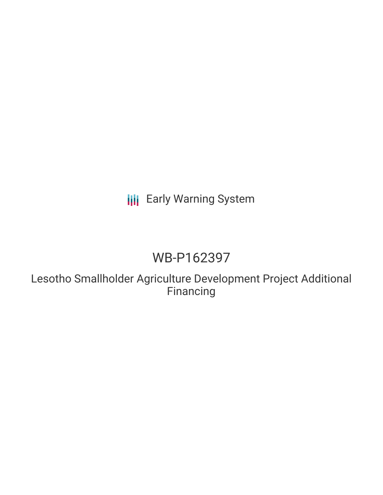# **III** Early Warning System

# WB-P162397

Lesotho Smallholder Agriculture Development Project Additional Financing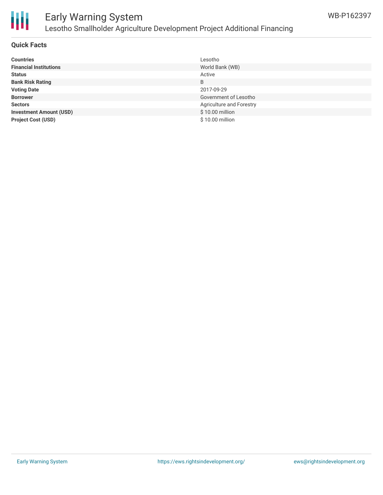

## Early Warning System Lesotho Smallholder Agriculture Development Project Additional Financing

#### **Quick Facts**

| <b>Countries</b>               | Lesotho                  |
|--------------------------------|--------------------------|
| <b>Financial Institutions</b>  | World Bank (WB)          |
| <b>Status</b>                  | Active                   |
| <b>Bank Risk Rating</b>        | B                        |
| <b>Voting Date</b>             | 2017-09-29               |
| <b>Borrower</b>                | Government of Lesotho    |
| <b>Sectors</b>                 | Agriculture and Forestry |
| <b>Investment Amount (USD)</b> | \$10.00 million          |
| <b>Project Cost (USD)</b>      | \$10.00 million          |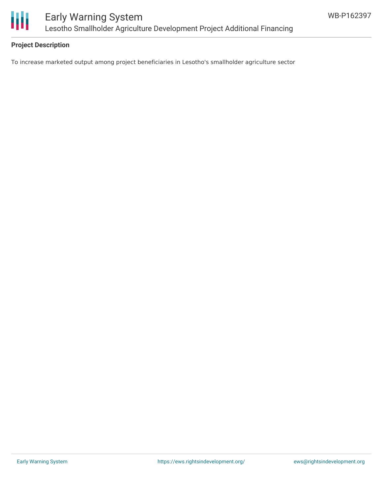

### **Project Description**

To increase marketed output among project beneficiaries in Lesotho's smallholder agriculture sector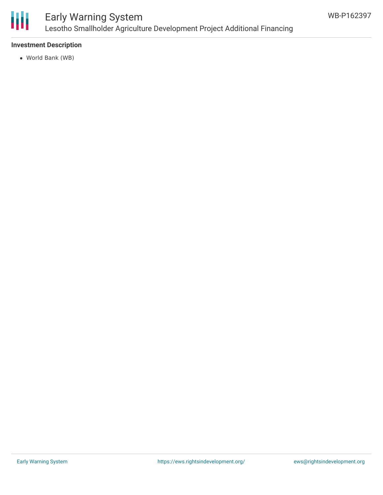

## Early Warning System Lesotho Smallholder Agriculture Development Project Additional Financing

### **Investment Description**

World Bank (WB)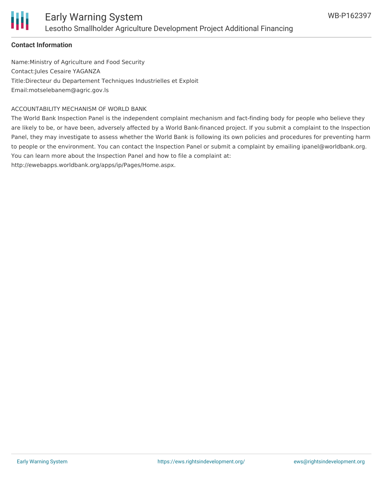

### **Contact Information**

Name:Ministry of Agriculture and Food Security Contact:Jules Cesaire YAGANZA Title:Directeur du Departement Techniques Industrielles et Exploit Email:motselebanem@agric.gov.ls

#### ACCOUNTABILITY MECHANISM OF WORLD BANK

The World Bank Inspection Panel is the independent complaint mechanism and fact-finding body for people who believe they are likely to be, or have been, adversely affected by a World Bank-financed project. If you submit a complaint to the Inspection Panel, they may investigate to assess whether the World Bank is following its own policies and procedures for preventing harm to people or the environment. You can contact the Inspection Panel or submit a complaint by emailing ipanel@worldbank.org. You can learn more about the Inspection Panel and how to file a complaint at:

http://ewebapps.worldbank.org/apps/ip/Pages/Home.aspx.